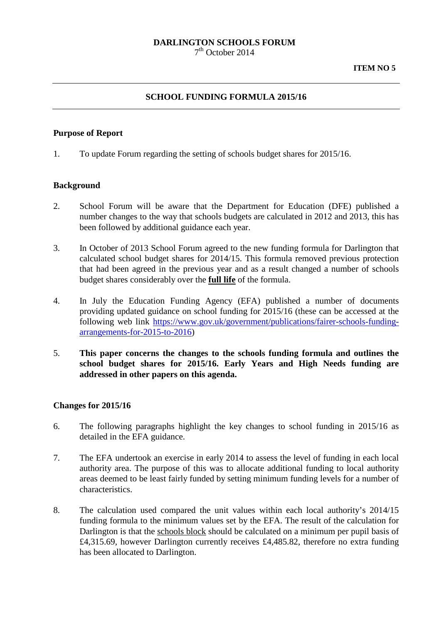# **DARLINGTON SCHOOLS FORUM**

 $7<sup>th</sup>$  October 2014

#### **SCHOOL FUNDING FORMULA 2015/16**

#### **Purpose of Report**

1. To update Forum regarding the setting of schools budget shares for 2015/16.

#### **Background**

- 2. School Forum will be aware that the Department for Education (DFE) published a number changes to the way that schools budgets are calculated in 2012 and 2013, this has been followed by additional guidance each year.
- 3. In October of 2013 School Forum agreed to the new funding formula for Darlington that calculated school budget shares for 2014/15. This formula removed previous protection that had been agreed in the previous year and as a result changed a number of schools budget shares considerably over the **full life** of the formula.
- 4. In July the Education Funding Agency (EFA) published a number of documents providing updated guidance on school funding for 2015/16 (these can be accessed at the following web link [https://www.gov.uk/government/publications/fairer-schools-funding](https://www.gov.uk/government/publications/fairer-schools-funding-arrangements-for-2015-to-2016)[arrangements-for-2015-to-2016\)](https://www.gov.uk/government/publications/fairer-schools-funding-arrangements-for-2015-to-2016)
- 5. **This paper concerns the changes to the schools funding formula and outlines the school budget shares for 2015/16. Early Years and High Needs funding are addressed in other papers on this agenda.**

#### **Changes for 2015/16**

- 6. The following paragraphs highlight the key changes to school funding in 2015/16 as detailed in the EFA guidance.
- 7. The EFA undertook an exercise in early 2014 to assess the level of funding in each local authority area. The purpose of this was to allocate additional funding to local authority areas deemed to be least fairly funded by setting minimum funding levels for a number of characteristics.
- 8. The calculation used compared the unit values within each local authority's 2014/15 funding formula to the minimum values set by the EFA. The result of the calculation for Darlington is that the schools block should be calculated on a minimum per pupil basis of £4,315.69, however Darlington currently receives £4,485.82, therefore no extra funding has been allocated to Darlington.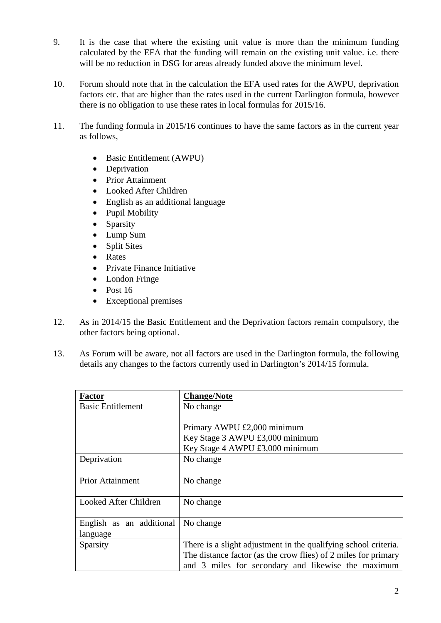- 9. It is the case that where the existing unit value is more than the minimum funding calculated by the EFA that the funding will remain on the existing unit value. i.e. there will be no reduction in DSG for areas already funded above the minimum level.
- 10. Forum should note that in the calculation the EFA used rates for the AWPU, deprivation factors etc. that are higher than the rates used in the current Darlington formula, however there is no obligation to use these rates in local formulas for 2015/16.
- 11. The funding formula in 2015/16 continues to have the same factors as in the current year as follows,
	- Basic Entitlement (AWPU)
	- Deprivation
	- Prior Attainment
	- Looked After Children
	- English as an additional language
	- Pupil Mobility
	- Sparsity
	- Lump Sum
	- Split Sites
	- Rates
	- Private Finance Initiative
	- London Fringe
	- Post 16
	- Exceptional premises
- 12. As in 2014/15 the Basic Entitlement and the Deprivation factors remain compulsory, the other factors being optional.
- 13. As Forum will be aware, not all factors are used in the Darlington formula, the following details any changes to the factors currently used in Darlington's 2014/15 formula.

| <b>Factor</b>            | <b>Change/Note</b>                                              |  |
|--------------------------|-----------------------------------------------------------------|--|
| <b>Basic Entitlement</b> | No change                                                       |  |
|                          |                                                                 |  |
|                          | Primary AWPU £2,000 minimum                                     |  |
|                          | Key Stage 3 AWPU £3,000 minimum                                 |  |
|                          | Key Stage 4 AWPU £3,000 minimum                                 |  |
| Deprivation              | No change                                                       |  |
|                          |                                                                 |  |
| <b>Prior Attainment</b>  | No change                                                       |  |
|                          |                                                                 |  |
| Looked After Children    | No change                                                       |  |
|                          |                                                                 |  |
| English as an additional | No change                                                       |  |
| language                 |                                                                 |  |
| Sparsity                 | There is a slight adjustment in the qualifying school criteria. |  |
|                          | The distance factor (as the crow flies) of 2 miles for primary  |  |
|                          | and 3 miles for secondary and likewise the maximum              |  |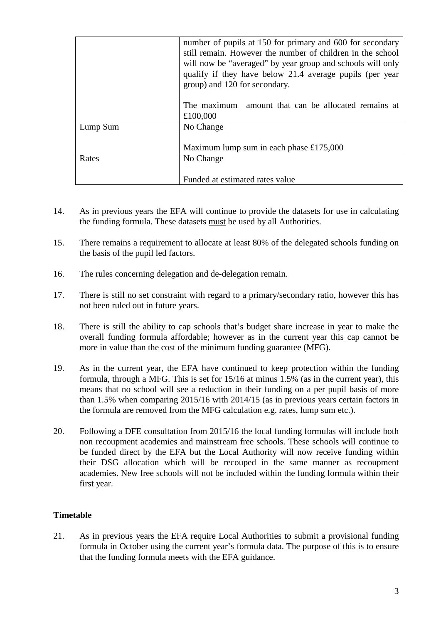|          | number of pupils at 150 for primary and 600 for secondary<br>still remain. However the number of children in the school<br>will now be "averaged" by year group and schools will only<br>qualify if they have below 21.4 average pupils (per year<br>group) and 120 for secondary.<br>amount that can be allocated remains at<br>The maximum<br>£100,000 |  |
|----------|----------------------------------------------------------------------------------------------------------------------------------------------------------------------------------------------------------------------------------------------------------------------------------------------------------------------------------------------------------|--|
| Lump Sum | No Change<br>Maximum lump sum in each phase £175,000                                                                                                                                                                                                                                                                                                     |  |
|          |                                                                                                                                                                                                                                                                                                                                                          |  |
| Rates    | No Change                                                                                                                                                                                                                                                                                                                                                |  |
|          | Funded at estimated rates value                                                                                                                                                                                                                                                                                                                          |  |

- 14. As in previous years the EFA will continue to provide the datasets for use in calculating the funding formula. These datasets must be used by all Authorities.
- 15. There remains a requirement to allocate at least 80% of the delegated schools funding on the basis of the pupil led factors.
- 16. The rules concerning delegation and de-delegation remain.
- 17. There is still no set constraint with regard to a primary/secondary ratio, however this has not been ruled out in future years.
- 18. There is still the ability to cap schools that's budget share increase in year to make the overall funding formula affordable; however as in the current year this cap cannot be more in value than the cost of the minimum funding guarantee (MFG).
- 19. As in the current year, the EFA have continued to keep protection within the funding formula, through a MFG. This is set for 15/16 at minus 1.5% (as in the current year), this means that no school will see a reduction in their funding on a per pupil basis of more than 1.5% when comparing 2015/16 with 2014/15 (as in previous years certain factors in the formula are removed from the MFG calculation e.g. rates, lump sum etc.).
- 20. Following a DFE consultation from 2015/16 the local funding formulas will include both non recoupment academies and mainstream free schools. These schools will continue to be funded direct by the EFA but the Local Authority will now receive funding within their DSG allocation which will be recouped in the same manner as recoupment academies. New free schools will not be included within the funding formula within their first year.

### **Timetable**

21. As in previous years the EFA require Local Authorities to submit a provisional funding formula in October using the current year's formula data. The purpose of this is to ensure that the funding formula meets with the EFA guidance.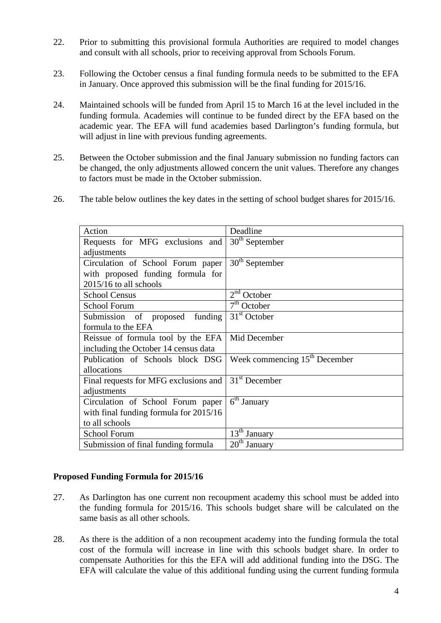- 22. Prior to submitting this provisional formula Authorities are required to model changes and consult with all schools, prior to receiving approval from Schools Forum.
- 23. Following the October census a final funding formula needs to be submitted to the EFA in January. Once approved this submission will be the final funding for 2015/16.
- 24. Maintained schools will be funded from April 15 to March 16 at the level included in the funding formula. Academies will continue to be funded direct by the EFA based on the academic year. The EFA will fund academies based Darlington's funding formula, but will adjust in line with previous funding agreements.
- 25. Between the October submission and the final January submission no funding factors can be changed, the only adjustments allowed concern the unit values. Therefore any changes to factors must be made in the October submission.
- 26. The table below outlines the key dates in the setting of school budget shares for 2015/16.

| Action                                 | Deadline                        |
|----------------------------------------|---------------------------------|
| Requests for MFG exclusions and        | $30th$ September                |
| adjustments                            |                                 |
| Circulation of School Forum paper      | $30th$ September                |
| with proposed funding formula for      |                                 |
| 2015/16 to all schools                 |                                 |
| <b>School Census</b>                   | $2nd$ October                   |
| <b>School Forum</b>                    | 7 <sup>th</sup> October         |
| Submission<br>funding<br>of proposed   | $31st$ October                  |
| formula to the EFA                     |                                 |
| Reissue of formula tool by the EFA     | Mid December                    |
| including the October 14 census data   |                                 |
| Publication of Schools block DSG       | Week commencing $15th$ December |
| allocations                            |                                 |
| Final requests for MFG exclusions and  | $31st$ December                 |
| adjustments                            |                                 |
| Circulation of School Forum paper      | $6th$ January                   |
| with final funding formula for 2015/16 |                                 |
| to all schools                         |                                 |
| <b>School Forum</b>                    | 13 <sup>th</sup> January        |
| Submission of final funding formula    | 20 <sup>th</sup><br>January     |

### **Proposed Funding Formula for 2015/16**

- 27. As Darlington has one current non recoupment academy this school must be added into the funding formula for 2015/16. This schools budget share will be calculated on the same basis as all other schools.
- 28. As there is the addition of a non recoupment academy into the funding formula the total cost of the formula will increase in line with this schools budget share. In order to compensate Authorities for this the EFA will add additional funding into the DSG. The EFA will calculate the value of this additional funding using the current funding formula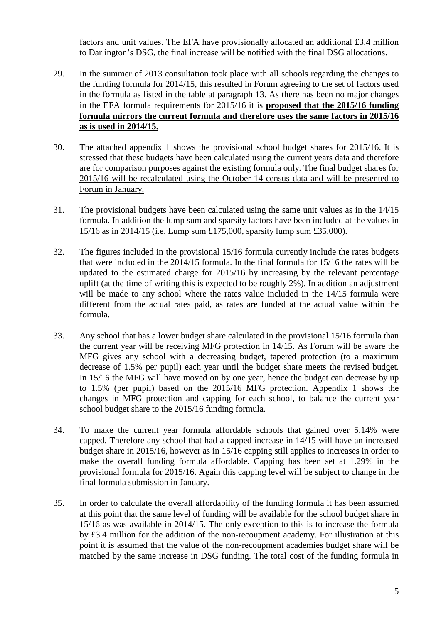factors and unit values. The EFA have provisionally allocated an additional £3.4 million to Darlington's DSG, the final increase will be notified with the final DSG allocations.

- 29. In the summer of 2013 consultation took place with all schools regarding the changes to the funding formula for 2014/15, this resulted in Forum agreeing to the set of factors used in the formula as listed in the table at paragraph 13. As there has been no major changes in the EFA formula requirements for 2015/16 it is **proposed that the 2015/16 funding formula mirrors the current formula and therefore uses the same factors in 2015/16 as is used in 2014/15.**
- 30. The attached appendix 1 shows the provisional school budget shares for 2015/16. It is stressed that these budgets have been calculated using the current years data and therefore are for comparison purposes against the existing formula only. The final budget shares for 2015/16 will be recalculated using the October 14 census data and will be presented to Forum in January.
- 31. The provisional budgets have been calculated using the same unit values as in the 14/15 formula. In addition the lump sum and sparsity factors have been included at the values in 15/16 as in 2014/15 (i.e. Lump sum £175,000, sparsity lump sum £35,000).
- 32. The figures included in the provisional 15/16 formula currently include the rates budgets that were included in the 2014/15 formula. In the final formula for 15/16 the rates will be updated to the estimated charge for 2015/16 by increasing by the relevant percentage uplift (at the time of writing this is expected to be roughly 2%). In addition an adjustment will be made to any school where the rates value included in the 14/15 formula were different from the actual rates paid, as rates are funded at the actual value within the formula.
- 33. Any school that has a lower budget share calculated in the provisional 15/16 formula than the current year will be receiving MFG protection in 14/15. As Forum will be aware the MFG gives any school with a decreasing budget, tapered protection (to a maximum decrease of 1.5% per pupil) each year until the budget share meets the revised budget. In 15/16 the MFG will have moved on by one year, hence the budget can decrease by up to 1.5% (per pupil) based on the 2015/16 MFG protection. Appendix 1 shows the changes in MFG protection and capping for each school, to balance the current year school budget share to the 2015/16 funding formula.
- 34. To make the current year formula affordable schools that gained over 5.14% were capped. Therefore any school that had a capped increase in 14/15 will have an increased budget share in 2015/16, however as in 15/16 capping still applies to increases in order to make the overall funding formula affordable. Capping has been set at 1.29% in the provisional formula for 2015/16. Again this capping level will be subject to change in the final formula submission in January.
- 35. In order to calculate the overall affordability of the funding formula it has been assumed at this point that the same level of funding will be available for the school budget share in 15/16 as was available in 2014/15. The only exception to this is to increase the formula by £3.4 million for the addition of the non-recoupment academy. For illustration at this point it is assumed that the value of the non-recoupment academies budget share will be matched by the same increase in DSG funding. The total cost of the funding formula in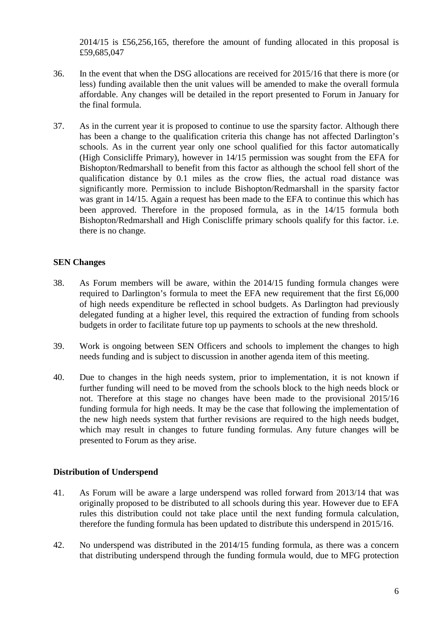2014/15 is £56,256,165, therefore the amount of funding allocated in this proposal is £59,685,047

- 36. In the event that when the DSG allocations are received for 2015/16 that there is more (or less) funding available then the unit values will be amended to make the overall formula affordable. Any changes will be detailed in the report presented to Forum in January for the final formula.
- 37. As in the current year it is proposed to continue to use the sparsity factor. Although there has been a change to the qualification criteria this change has not affected Darlington's schools. As in the current year only one school qualified for this factor automatically (High Consicliffe Primary), however in 14/15 permission was sought from the EFA for Bishopton/Redmarshall to benefit from this factor as although the school fell short of the qualification distance by 0.1 miles as the crow flies, the actual road distance was significantly more. Permission to include Bishopton/Redmarshall in the sparsity factor was grant in 14/15. Again a request has been made to the EFA to continue this which has been approved. Therefore in the proposed formula, as in the 14/15 formula both Bishopton/Redmarshall and High Coniscliffe primary schools qualify for this factor. i.e. there is no change.

## **SEN Changes**

- 38. As Forum members will be aware, within the 2014/15 funding formula changes were required to Darlington's formula to meet the EFA new requirement that the first £6,000 of high needs expenditure be reflected in school budgets. As Darlington had previously delegated funding at a higher level, this required the extraction of funding from schools budgets in order to facilitate future top up payments to schools at the new threshold.
- 39. Work is ongoing between SEN Officers and schools to implement the changes to high needs funding and is subject to discussion in another agenda item of this meeting.
- 40. Due to changes in the high needs system, prior to implementation, it is not known if further funding will need to be moved from the schools block to the high needs block or not. Therefore at this stage no changes have been made to the provisional 2015/16 funding formula for high needs. It may be the case that following the implementation of the new high needs system that further revisions are required to the high needs budget, which may result in changes to future funding formulas. Any future changes will be presented to Forum as they arise.

### **Distribution of Underspend**

- 41. As Forum will be aware a large underspend was rolled forward from 2013/14 that was originally proposed to be distributed to all schools during this year. However due to EFA rules this distribution could not take place until the next funding formula calculation, therefore the funding formula has been updated to distribute this underspend in 2015/16.
- 42. No underspend was distributed in the 2014/15 funding formula, as there was a concern that distributing underspend through the funding formula would, due to MFG protection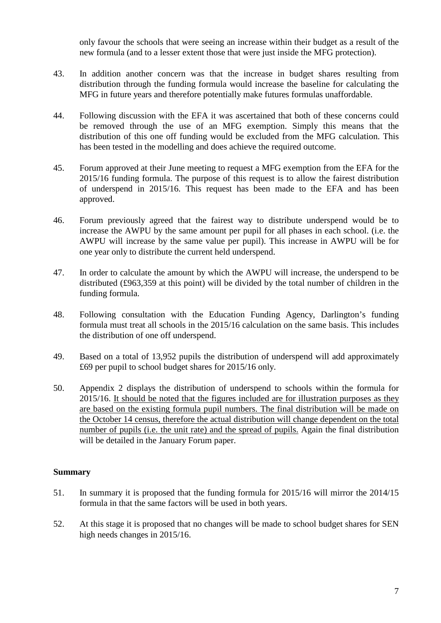only favour the schools that were seeing an increase within their budget as a result of the new formula (and to a lesser extent those that were just inside the MFG protection).

- 43. In addition another concern was that the increase in budget shares resulting from distribution through the funding formula would increase the baseline for calculating the MFG in future years and therefore potentially make futures formulas unaffordable.
- 44. Following discussion with the EFA it was ascertained that both of these concerns could be removed through the use of an MFG exemption. Simply this means that the distribution of this one off funding would be excluded from the MFG calculation. This has been tested in the modelling and does achieve the required outcome.
- 45. Forum approved at their June meeting to request a MFG exemption from the EFA for the 2015/16 funding formula. The purpose of this request is to allow the fairest distribution of underspend in 2015/16. This request has been made to the EFA and has been approved.
- 46. Forum previously agreed that the fairest way to distribute underspend would be to increase the AWPU by the same amount per pupil for all phases in each school. (i.e. the AWPU will increase by the same value per pupil). This increase in AWPU will be for one year only to distribute the current held underspend.
- 47. In order to calculate the amount by which the AWPU will increase, the underspend to be distributed (£963,359 at this point) will be divided by the total number of children in the funding formula.
- 48. Following consultation with the Education Funding Agency, Darlington's funding formula must treat all schools in the 2015/16 calculation on the same basis. This includes the distribution of one off underspend.
- 49. Based on a total of 13,952 pupils the distribution of underspend will add approximately £69 per pupil to school budget shares for 2015/16 only.
- 50. Appendix 2 displays the distribution of underspend to schools within the formula for 2015/16. It should be noted that the figures included are for illustration purposes as they are based on the existing formula pupil numbers. The final distribution will be made on the October 14 census, therefore the actual distribution will change dependent on the total number of pupils (i.e. the unit rate) and the spread of pupils. Again the final distribution will be detailed in the January Forum paper.

### **Summary**

- 51. In summary it is proposed that the funding formula for 2015/16 will mirror the 2014/15 formula in that the same factors will be used in both years.
- 52. At this stage it is proposed that no changes will be made to school budget shares for SEN high needs changes in 2015/16.